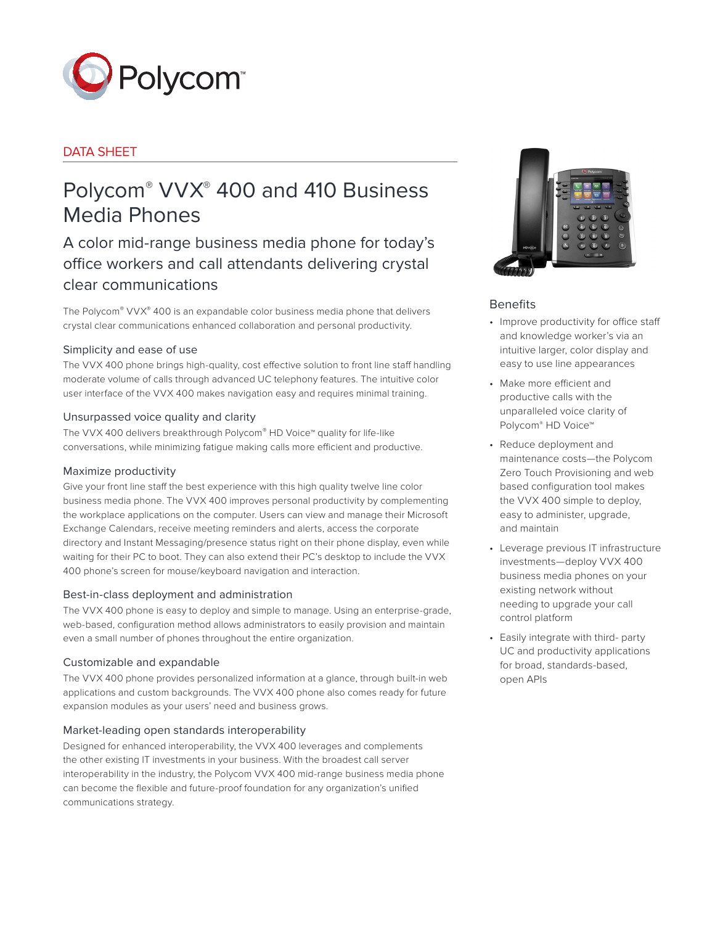

# DATA SHEET

# Polycom® VVX® 400 and 410 Business Media Phones

A color mid-range business media phone for today's office workers and call attendants delivering crystal clear communications

The Polycom® VVX® 400 is an expandable color business media phone that delivers crystal clear communications enhanced collaboration and personal productivity.

# Simplicity and ease of use

The VVX 400 phone brings high-quality, cost effective solution to front line staff handling moderate volume of calls through advanced UC telephony features. The intuitive color user interface of the VVX 400 makes navigation easy and requires minimal training.

# Unsurpassed voice quality and clarity

The VVX 400 delivers breakthrough Polycom® HD Voice™ quality for life-like conversations, while minimizing fatigue making calls more efficient and productive.

## Maximize productivity

Give your front line staff the best experience with this high quality twelve line color business media phone. The VVX 400 improves personal productivity by complementing the workplace applications on the computer. Users can view and manage their Microsoft Exchange Calendars, receive meeting reminders and alerts, access the corporate directory and Instant Messaging/presence status right on their phone display, even while waiting for their PC to boot. They can also extend their PC's desktop to include the VVX 400 phone's screen for mouse/keyboard navigation and interaction.

## Best-in-class deployment and administration

The VVX 400 phone is easy to deploy and simple to manage. Using an enterprise-grade, web-based, configuration method allows administrators to easily provision and maintain even a small number of phones throughout the entire organization.

## Customizable and expandable

The VVX 400 phone provides personalized information at a glance, through built-in web applications and custom backgrounds. The VVX 400 phone also comes ready for future expansion modules as your users' need and business grows.

## Market-leading open standards interoperability

Designed for enhanced interoperability, the VVX 400 leverages and complements the other existing IT investments in your business. With the broadest call server interoperability in the industry, the Polycom VVX 400 mid-range business media phone can become the flexible and future-proof foundation for any organization's unified communications strategy.



# Benefits

- • Improve productivity for office staff and knowledge worker's via an intuitive larger, color display and easy to use line appearances
- • Make more efficient and productive calls with the unparalleled voice clarity of Polycom® HD Voice™
- • Reduce deployment and maintenance costs—the Polycom Zero Touch Provisioning and web based configuration tool makes the VVX 400 simple to deploy, easy to administer, upgrade, and maintain
- • Leverage previous IT infrastructure investments—deploy VVX 400 business media phones on your existing network without needing to upgrade your call control platform
- Easily integrate with third- party UC and productivity applications for broad, standards-based, open APIs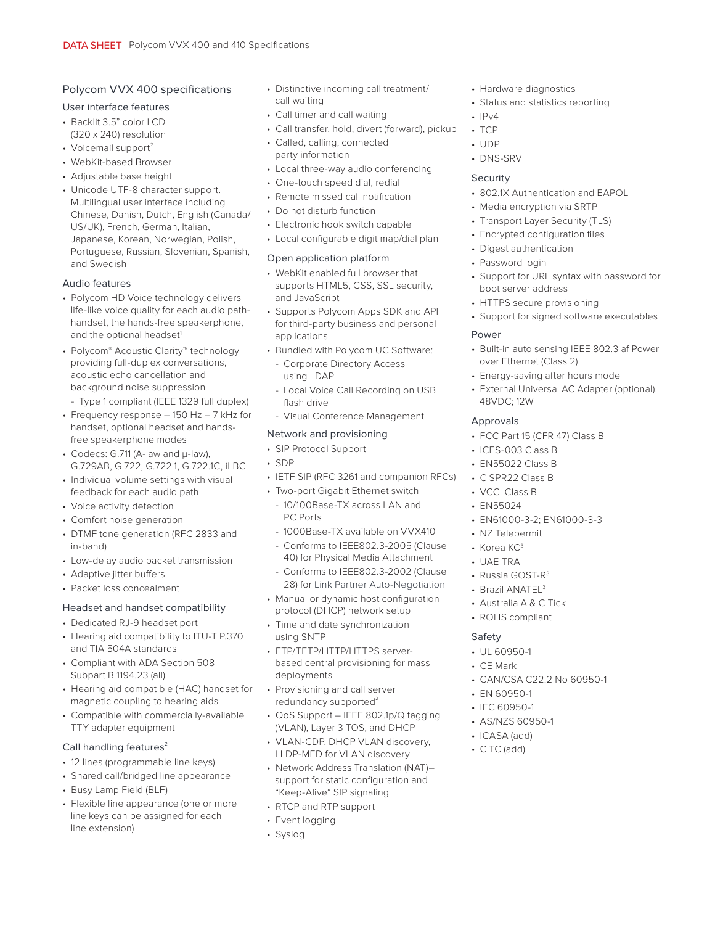# Polycom VVX 400 specifications

## User interface features

- Backlit 3.5" color LCD (320 x 240) resolution
- Voicemail support $2$
- WebKit-based Browser
- Adjustable base height
- Unicode UTF-8 character support. Multilingual user interface including Chinese, Danish, Dutch, English (Canada/ US/UK), French, German, Italian, Japanese, Korean, Norwegian, Polish, Portuguese, Russian, Slovenian, Spanish, and Swedish

## Audio features

- Polycom HD Voice technology delivers life-like voice quality for each audio pathhandset, the hands-free speakerphone, and the optional headset<sup>1</sup>
- Polycom® Acoustic Clarity™ technology providing full-duplex conversations, acoustic echo cancellation and background noise suppression
- Type 1 compliant (IEEE 1329 full duplex)
- Frequency response 150 Hz 7 kHz for handset, optional headset and handsfree speakerphone modes
- Codecs: G.711 (A-law and μ-law), G.729AB, G.722, G.722.1, G.722.1C, iLBC
- Individual volume settings with visual feedback for each audio path
- Voice activity detection
- Comfort noise generation
- DTMF tone generation (RFC 2833 and in-band)
- Low-delay audio packet transmission
- Adaptive jitter buffers
- Packet loss concealment

## Headset and handset compatibility

- Dedicated RJ-9 headset port
- Hearing aid compatibility to ITU-T P.370 and TIA 504A standards
- Compliant with ADA Section 508 Subpart B 1194.23 (all)
- Hearing aid compatible (HAC) handset for magnetic coupling to hearing aids
- Compatible with commercially-available TTY adapter equipment

## Call handling features<sup>2</sup>

- 12 lines (programmable line keys)
- Shared call/bridged line appearance
- Busy Lamp Field (BLF)
- Flexible line appearance (one or more line keys can be assigned for each line extension)
- Distinctive incoming call treatment/ call waiting
- Call timer and call waiting
- Call transfer, hold, divert (forward), pickup
- Called, calling, connected party information
- Local three-way audio conferencing
- One-touch speed dial, redial
- Remote missed call notification
- Do not disturb function
- Electronic hook switch capable
- Local configurable digit map/dial plan

#### Open application platform

- WebKit enabled full browser that supports HTML5, CSS, SSL security, and JavaScript
- Supports Polycom Apps SDK and API for third-party business and personal applications
- Bundled with Polycom UC Software:
	- Corporate Directory Access using LDAP
	- Local Voice Call Recording on USB flash drive
	- Visual Conference Management

## Network and provisioning

- SIP Protocol Support
- SDP
- IETF SIP (RFC 3261 and companion RFCs)
- Two-port Gigabit Ethernet switch
- 10/100Base-TX across LAN and PC Ports
- 1000Base-TX available on VVX410
- Conforms to IEEE802.3-2005 (Clause 40) for Physical Media Attachment
- Conforms to IEEE802.3-2002 (Clause 28) for Link Partner Auto-Negotiation
- Manual or dynamic host configuration protocol (DHCP) network setup
- Time and date synchronization using SNTP
- FTP/TFTP/HTTP/HTTPS serverbased central provisioning for mass deployments
- Provisioning and call server redundancy supported $2$
- QoS Support IEEE 802.1p/Q tagging (VLAN), Layer 3 TOS, and DHCP
- VLAN-CDP, DHCP VLAN discovery, LLDP-MED for VLAN discovery
- Network Address Translation (NAT)– support for static configuration and "Keep-Alive" SIP signaling
- RTCP and RTP support
- Event logging
- Syslog
- Hardware diagnostics
- Status and statistics reporting
- $\cdot$  IPv4
- TCP
- UDP
- DNS-SRV

#### Security

- 802.1X Authentication and EAPOL
- Media encryption via SRTP
- Transport Layer Security (TLS)
- Encrypted configuration files
- Digest authentication
- Password login
- Support for URL syntax with password for boot server address
- HTTPS secure provisioning
- Support for signed software executables

## Power

- Built-in auto sensing IEEE 802.3 af Power over Ethernet (Class 2)
- Energy-saving after hours mode
- External Universal AC Adapter (optional), 48VDC; 12W

## Approvals

- FCC Part 15 (CFR 47) Class B
- ICES-003 Class B
- EN55022 Class B
- CISPR22 Class B
- VCCI Class B
- EN55024
- EN61000-3-2; EN61000-3-3
- NZ Telepermit
- Korea KC<sup>3</sup>
- UAE TRA

Safety • UL 60950-1 • CE Mark

• EN 60950-1 • IEC 60950-1 • AS/NZS 60950-1 • ICASA (add) • CITC (add)

• Russia GOST-R<sup>3</sup> • Brazil ANATEL<sup>3</sup>

• Australia A & C Tick • ROHS compliant

• CAN/CSA C22.2 No 60950-1